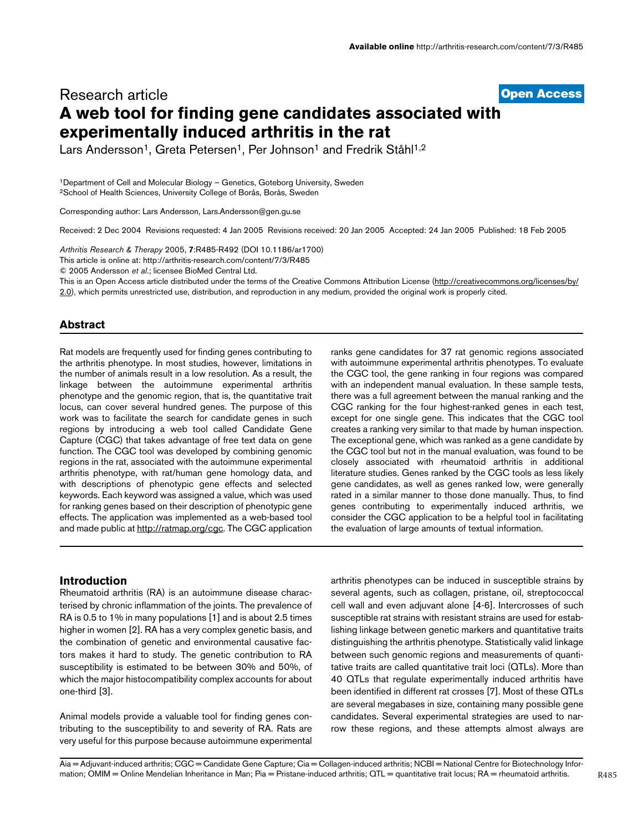# **[Open Access](http://www.biomedcentral.com/info/about/charter/)** Research article **A web tool for finding gene candidates associated with experimentally induced arthritis in the rat**

Lars Andersson<sup>1</sup>, Greta Petersen<sup>1</sup>, Per Johnson<sup>1</sup> and Fredrik Ståhl<sup>1,2</sup>

1Department of Cell and Molecular Biology – Genetics, Goteborg University, Sweden 2School of Health Sciences, University College of Borås, Borås, Sweden

Corresponding author: Lars Andersson, Lars.Andersson@gen.gu.se

Received: 2 Dec 2004 Revisions requested: 4 Jan 2005 Revisions received: 20 Jan 2005 Accepted: 24 Jan 2005 Published: 18 Feb 2005

*Arthritis Research & Therapy* 2005, **7**:R485-R492 (DOI 10.1186/ar1700)

[This article is online at: http://arthritis-research.com/content/7/3/R485](http://arthritis-research.com/content/7/3/R485)

© 2005 Andersson *et al*.; licensee BioMed Central Ltd.

This is an Open Access article distributed under the terms of the Creative Commons Attribution License ([http://creativecommons.org/licenses/by/](http://creativecommons.org/licenses/by/2.0) [2.0\)](http://creativecommons.org/licenses/by/2.0), which permits unrestricted use, distribution, and reproduction in any medium, provided the original work is properly cited.

### **Abstract**

[Rat models are frequently used for finding genes contributing to](http://ratmap.org/cgc) the arthritis phenotype. In most studies, however, limitations in the number of animals result in a low resolution. As a result, the linkage between the autoimmune experimental arthritis phenotype and the genomic region, that is, the quantitative trait locus, can cover several hundred genes. The purpose of this work was to facilitate the search for candidate genes in such regions by introducing a web tool called Candidate Gene Capture (CGC) that takes advantage of free text data on gene function. The CGC tool was developed by combining genomic regions in the rat, associated with the autoimmune experimental arthritis phenotype, with rat/human gene homology data, and with descriptions of phenotypic gene effects and selected keywords. Each keyword was assigned a value, which was used for ranking genes based on their description of phenotypic gene effects. The application was implemented as a web-based tool [and made public at h](http://ratmap.org/cgc)ttp://ratmap.org/cgc. The CGC application

ranks gene candidates for 37 rat genomic regions associated with autoimmune experimental arthritis phenotypes. To evaluate the CGC tool, the gene ranking in four regions was compared with an independent manual evaluation. In these sample tests, there was a full agreement between the manual ranking and the CGC ranking for the four highest-ranked genes in each test, except for one single gene. This indicates that the CGC tool creates a ranking very similar to that made by human inspection. The exceptional gene, which was ranked as a gene candidate by the CGC tool but not in the manual evaluation, was found to be closely associated with rheumatoid arthritis in additional literature studies. Genes ranked by the CGC tools as less likely gene candidates, as well as genes ranked low, were generally rated in a similar manner to those done manually. Thus, to find genes contributing to experimentally induced arthritis, we consider the CGC application to be a helpful tool in facilitating the evaluation of large amounts of textual information.

### **Introduction**

Rheumatoid arthritis (RA) is an autoimmune disease characterised by chronic inflammation of the joints. The prevalence of RA is 0.5 to 1% in many populations [1] and is about 2.5 times higher in women [2]. RA has a very complex genetic basis, and the combination of genetic and environmental causative factors makes it hard to study. The genetic contribution to RA susceptibility is estimated to be between 30% and 50%, of which the major histocompatibility complex accounts for about one-third [3].

Animal models provide a valuable tool for finding genes contributing to the susceptibility to and severity of RA. Rats are very useful for this purpose because autoimmune experimental arthritis phenotypes can be induced in susceptible strains by several agents, such as collagen, pristane, oil, streptococcal cell wall and even adjuvant alone [4-6]. Intercrosses of such susceptible rat strains with resistant strains are used for establishing linkage between genetic markers and quantitative traits distinguishing the arthritis phenotype. Statistically valid linkage between such genomic regions and measurements of quantitative traits are called quantitative trait loci (QTLs). More than 40 QTLs that regulate experimentally induced arthritis have been identified in different rat crosses [7]. Most of these QTLs are several megabases in size, containing many possible gene candidates. Several experimental strategies are used to narrow these regions, and these attempts almost always are

Aia = Adjuvant-induced arthritis; CGC = Candidate Gene Capture; Cia = Collagen-induced arthritis; NCBI = National Centre for Biotechnology Information; OMIM = Online Mendelian Inheritance in Man; Pia = Pristane-induced arthritis; QTL = quantitative trait locus; RA = rheumatoid arthritis.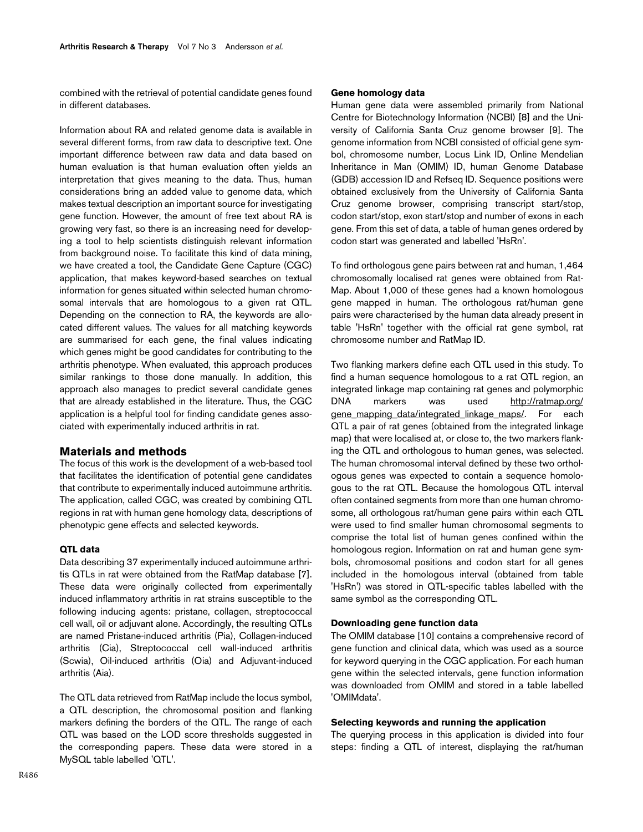combined with the retrieval of potential candidate genes found in different databases.

Information about RA and related genome data is available in several different forms, from raw data to descriptive text. One important difference between raw data and data based on human evaluation is that human evaluation often yields an interpretation that gives meaning to the data. Thus, human considerations bring an added value to genome data, which makes textual description an important source for investigating gene function. However, the amount of free text about RA is growing very fast, so there is an increasing need for developing a tool to help scientists distinguish relevant information from background noise. To facilitate this kind of data mining, we have created a tool, the Candidate Gene Capture (CGC) application, that makes keyword-based searches on textual information for genes situated within selected human chromosomal intervals that are homologous to a given rat QTL. Depending on the connection to RA, the keywords are allocated different values. The values for all matching keywords are summarised for each gene, the final values indicating which genes might be good candidates for contributing to the arthritis phenotype. When evaluated, this approach produces similar rankings to those done manually. In addition, this approach also manages to predict several candidate genes that are already established in the literature. Thus, the CGC application is a helpful tool for finding candidate genes associated with experimentally induced arthritis in rat.

### **Materials and methods**

The focus of this work is the development of a web-based tool that facilitates the identification of potential gene candidates that contribute to experimentally induced autoimmune arthritis. The application, called CGC, was created by combining QTL regions in rat with human gene homology data, descriptions of phenotypic gene effects and selected keywords.

### **QTL data**

Data describing 37 experimentally induced autoimmune arthritis QTLs in rat were obtained from the RatMap database [7]. These data were originally collected from experimentally induced inflammatory arthritis in rat strains susceptible to the following inducing agents: pristane, collagen, streptococcal cell wall, oil or adjuvant alone. Accordingly, the resulting QTLs are named Pristane-induced arthritis (Pia), Collagen-induced arthritis (Cia), Streptococcal cell wall-induced arthritis (Scwia), Oil-induced arthritis (Oia) and Adjuvant-induced arthritis (Aia).

The QTL data retrieved from RatMap include the locus symbol, a QTL description, the chromosomal position and flanking markers defining the borders of the QTL. The range of each QTL was based on the LOD score thresholds suggested in the corresponding papers. These data were stored in a MySQL table labelled 'QTL'.

#### **Gene homology data**

Human gene data were assembled primarily from National Centre for Biotechnology Information (NCBI) [8] and the University of California Santa Cruz genome browser [9]. The genome information from NCBI consisted of official gene symbol, chromosome number, Locus Link ID, Online Mendelian Inheritance in Man (OMIM) ID, human Genome Database (GDB) accession ID and Refseq ID. Sequence positions were obtained exclusively from the University of California Santa Cruz genome browser, comprising transcript start/stop, codon start/stop, exon start/stop and number of exons in each gene. From this set of data, a table of human genes ordered by codon start was generated and labelled 'HsRn'.

To find orthologous gene pairs between rat and human, 1,464 chromosomally localised rat genes were obtained from Rat-Map. About 1,000 of these genes had a known homologous gene mapped in human. The orthologous rat/human gene pairs were characterised by the human data already present in table 'HsRn' together with the official rat gene symbol, rat chromosome number and RatMap ID.

Two flanking markers define each QTL used in this study. To find a human sequence homologous to a rat QTL region, an integrated linkage map containing rat genes and polymorphic DNA markers was used [http://ratmap.org/](http://ratmap.org/gene_mapping_data/integrated_linkage_maps/) gene mapping data/integrated linkage maps/. For each QTL a pair of rat genes (obtained from the integrated linkage map) that were localised at, or close to, the two markers flanking the QTL and orthologous to human genes, was selected. The human chromosomal interval defined by these two orthologous genes was expected to contain a sequence homologous to the rat QTL. Because the homologous QTL interval often contained segments from more than one human chromosome, all orthologous rat/human gene pairs within each QTL were used to find smaller human chromosomal segments to comprise the total list of human genes confined within the homologous region. Information on rat and human gene symbols, chromosomal positions and codon start for all genes included in the homologous interval (obtained from table 'HsRn') was stored in QTL-specific tables labelled with the same symbol as the corresponding QTL.

### **Downloading gene function data**

The OMIM database [10] contains a comprehensive record of gene function and clinical data, which was used as a source for keyword querying in the CGC application. For each human gene within the selected intervals, gene function information was downloaded from OMIM and stored in a table labelled 'OMIMdata'.

### **Selecting keywords and running the application**

The querying process in this application is divided into four steps: finding a QTL of interest, displaying the rat/human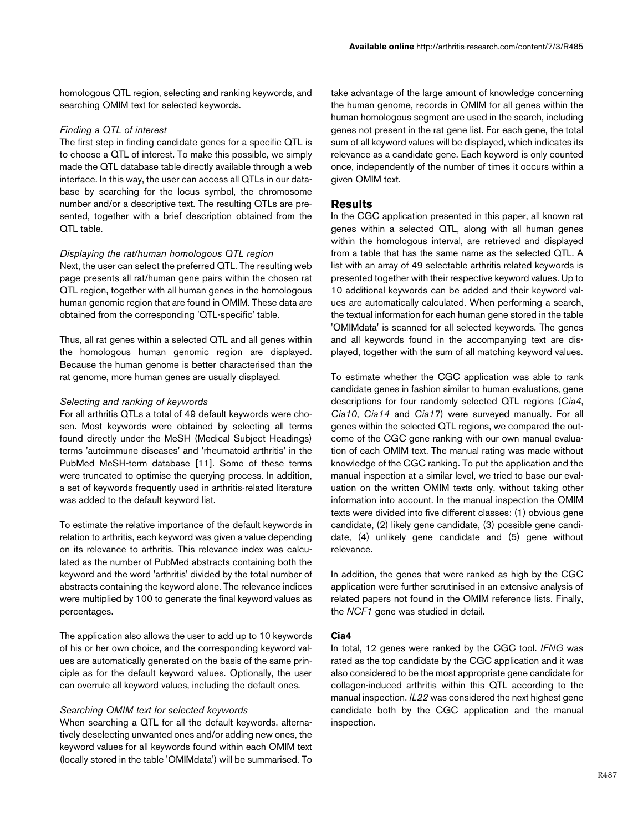homologous QTL region, selecting and ranking keywords, and searching OMIM text for selected keywords.

### *Finding a QTL of interest*

The first step in finding candidate genes for a specific QTL is to choose a QTL of interest. To make this possible, we simply made the QTL database table directly available through a web interface. In this way, the user can access all QTLs in our database by searching for the locus symbol, the chromosome number and/or a descriptive text. The resulting QTLs are presented, together with a brief description obtained from the QTL table.

#### *Displaying the rat/human homologous QTL region*

Next, the user can select the preferred QTL. The resulting web page presents all rat/human gene pairs within the chosen rat QTL region, together with all human genes in the homologous human genomic region that are found in OMIM. These data are obtained from the corresponding 'QTL-specific' table.

Thus, all rat genes within a selected QTL and all genes within the homologous human genomic region are displayed. Because the human genome is better characterised than the rat genome, more human genes are usually displayed.

### *Selecting and ranking of keywords*

For all arthritis QTLs a total of 49 default keywords were chosen. Most keywords were obtained by selecting all terms found directly under the MeSH (Medical Subject Headings) terms 'autoimmune diseases' and 'rheumatoid arthritis' in the PubMed MeSH-term database [11]. Some of these terms were truncated to optimise the querying process. In addition, a set of keywords frequently used in arthritis-related literature was added to the default keyword list.

To estimate the relative importance of the default keywords in relation to arthritis, each keyword was given a value depending on its relevance to arthritis. This relevance index was calculated as the number of PubMed abstracts containing both the keyword and the word 'arthritis' divided by the total number of abstracts containing the keyword alone. The relevance indices were multiplied by 100 to generate the final keyword values as percentages.

The application also allows the user to add up to 10 keywords of his or her own choice, and the corresponding keyword values are automatically generated on the basis of the same principle as for the default keyword values. Optionally, the user can overrule all keyword values, including the default ones.

### *Searching OMIM text for selected keywords*

When searching a QTL for all the default keywords, alternatively deselecting unwanted ones and/or adding new ones, the keyword values for all keywords found within each OMIM text (locally stored in the table 'OMIMdata') will be summarised. To

take advantage of the large amount of knowledge concerning the human genome, records in OMIM for all genes within the human homologous segment are used in the search, including genes not present in the rat gene list. For each gene, the total sum of all keyword values will be displayed, which indicates its relevance as a candidate gene. Each keyword is only counted once, independently of the number of times it occurs within a given OMIM text.

### **Results**

In the CGC application presented in this paper, all known rat genes within a selected QTL, along with all human genes within the homologous interval, are retrieved and displayed from a table that has the same name as the selected QTL. A list with an array of 49 selectable arthritis related keywords is presented together with their respective keyword values. Up to 10 additional keywords can be added and their keyword values are automatically calculated. When performing a search, the textual information for each human gene stored in the table 'OMIMdata' is scanned for all selected keywords. The genes and all keywords found in the accompanying text are displayed, together with the sum of all matching keyword values.

To estimate whether the CGC application was able to rank candidate genes in fashion similar to human evaluations, gene descriptions for four randomly selected QTL regions (*Cia4*, *Cia10*, *Cia14* and *Cia17*) were surveyed manually. For all genes within the selected QTL regions, we compared the outcome of the CGC gene ranking with our own manual evaluation of each OMIM text. The manual rating was made without knowledge of the CGC ranking. To put the application and the manual inspection at a similar level, we tried to base our evaluation on the written OMIM texts only, without taking other information into account. In the manual inspection the OMIM texts were divided into five different classes: (1) obvious gene candidate, (2) likely gene candidate, (3) possible gene candidate, (4) unlikely gene candidate and (5) gene without relevance.

In addition, the genes that were ranked as high by the CGC application were further scrutinised in an extensive analysis of related papers not found in the OMIM reference lists. Finally, the *NCF1* gene was studied in detail.

### **Cia4**

In total, 12 genes were ranked by the CGC tool. *IFNG* was rated as the top candidate by the CGC application and it was also considered to be the most appropriate gene candidate for collagen-induced arthritis within this QTL according to the manual inspection. *IL22* was considered the next highest gene candidate both by the CGC application and the manual inspection.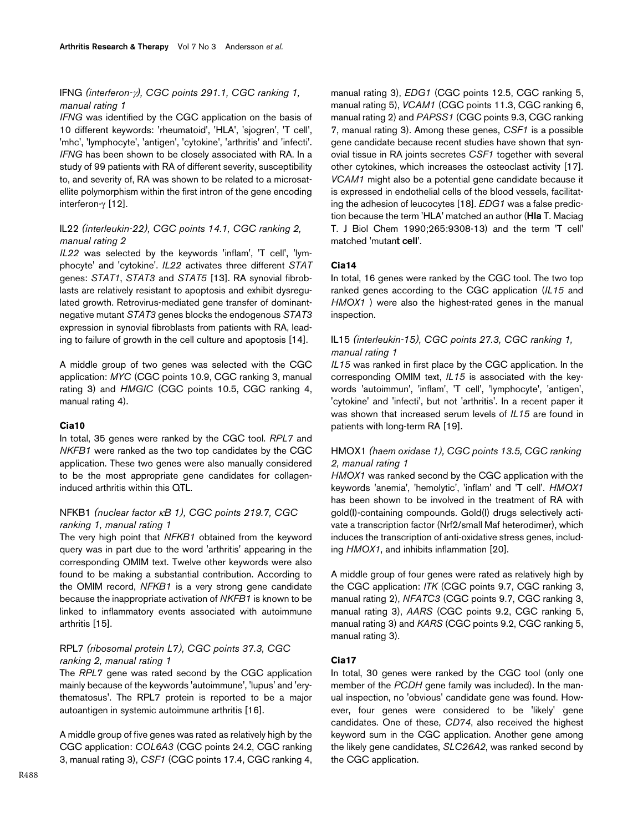# IFNG *(interferon-*γ*), CGC points 291.1, CGC ranking 1, manual rating 1*

*IFNG* was identified by the CGC application on the basis of 10 different keywords: 'rheumatoid', 'HLA', 'sjogren', 'T cell', 'mhc', 'lymphocyte', 'antigen', 'cytokine', 'arthritis' and 'infecti'. *IFNG* has been shown to be closely associated with RA. In a study of 99 patients with RA of different severity, susceptibility to, and severity of, RA was shown to be related to a microsatellite polymorphism within the first intron of the gene encoding interferon-γ [12].

## IL22 *(interleukin-22), CGC points 14.1, CGC ranking 2, manual rating 2*

*IL22* was selected by the keywords 'inflam', 'T cell', 'lymphocyte' and 'cytokine'. *IL22* activates three different *STAT* genes: *STAT1*, *STAT3* and *STAT5* [13]. RA synovial fibroblasts are relatively resistant to apoptosis and exhibit dysregulated growth. Retrovirus-mediated gene transfer of dominantnegative mutant *STAT3* genes blocks the endogenous *STAT3* expression in synovial fibroblasts from patients with RA, leading to failure of growth in the cell culture and apoptosis [14].

A middle group of two genes was selected with the CGC application: *MYC* (CGC points 10.9, CGC ranking 3, manual rating 3) and *HMGIC* (CGC points 10.5, CGC ranking 4, manual rating 4).

### **Cia10**

In total, 35 genes were ranked by the CGC tool. *RPL7* and *NKFB1* were ranked as the two top candidates by the CGC application. These two genes were also manually considered to be the most appropriate gene candidates for collageninduced arthritis within this QTL.

## NFKB1 *(nuclear factor* κ*B 1), CGC points 219.7, CGC ranking 1, manual rating 1*

The very high point that *NFKB1* obtained from the keyword query was in part due to the word 'arthritis' appearing in the corresponding OMIM text. Twelve other keywords were also found to be making a substantial contribution. According to the OMIM record, *NFKB1* is a very strong gene candidate because the inappropriate activation of *NKFB1* is known to be linked to inflammatory events associated with autoimmune arthritis [15].

## RPL7 *(ribosomal protein L7), CGC points 37.3, CGC ranking 2, manual rating 1*

The *RPL7* gene was rated second by the CGC application mainly because of the keywords 'autoimmune', 'lupus' and 'erythematosus'. The RPL7 protein is reported to be a major autoantigen in systemic autoimmune arthritis [16].

A middle group of five genes was rated as relatively high by the CGC application: *COL6A3* (CGC points 24.2, CGC ranking 3, manual rating 3), *CSF1* (CGC points 17.4, CGC ranking 4,

manual rating 3), *EDG1* (CGC points 12.5, CGC ranking 5, manual rating 5), *VCAM1* (CGC points 11.3, CGC ranking 6, manual rating 2) and *PAPSS1* (CGC points 9.3, CGC ranking 7, manual rating 3). Among these genes, *CSF1* is a possible gene candidate because recent studies have shown that synovial tissue in RA joints secretes *CSF1* together with several other cytokines, which increases the osteoclast activity [17]. *VCAM1* might also be a potential gene candidate because it is expressed in endothelial cells of the blood vessels, facilitating the adhesion of leucocytes [18]. *EDG1* was a false prediction because the term 'HLA' matched an author (**Hla** T. Maciag T. J Biol Chem 1990;265:9308-13) and the term 'T cell' matched 'mutan**t cell**'.

### **Cia14**

In total, 16 genes were ranked by the CGC tool. The two top ranked genes according to the CGC application (*IL15* and *HMOX1* ) were also the highest-rated genes in the manual inspection.

### IL15 *(interleukin-15), CGC points 27.3, CGC ranking 1, manual rating 1*

*IL15* was ranked in first place by the CGC application. In the corresponding OMIM text, *IL15* is associated with the keywords 'autoimmun', 'inflam', 'T cell', 'lymphocyte', 'antigen', 'cytokine' and 'infecti', but not 'arthritis'. In a recent paper it was shown that increased serum levels of *IL15* are found in patients with long-term RA [19].

## HMOX1 *(haem oxidase 1), CGC points 13.5, CGC ranking 2, manual rating 1*

*HMOX1* was ranked second by the CGC application with the keywords 'anemia', 'hemolytic', 'inflam' and 'T cell'. *HMOX1* has been shown to be involved in the treatment of RA with gold(I)-containing compounds. Gold(I) drugs selectively activate a transcription factor (Nrf2/small Maf heterodimer), which induces the transcription of anti-oxidative stress genes, including *HMOX1*, and inhibits inflammation [20].

A middle group of four genes were rated as relatively high by the CGC application: *ITK* (CGC points 9.7, CGC ranking 3, manual rating 2), *NFATC3* (CGC points 9.7, CGC ranking 3, manual rating 3), *AARS* (CGC points 9.2, CGC ranking 5, manual rating 3) and *KARS* (CGC points 9.2, CGC ranking 5, manual rating 3).

### **Cia17**

In total, 30 genes were ranked by the CGC tool (only one member of the *PCDH* gene family was included). In the manual inspection, no 'obvious' candidate gene was found. However, four genes were considered to be 'likely' gene candidates. One of these, *CD74*, also received the highest keyword sum in the CGC application. Another gene among the likely gene candidates, *SLC26A2*, was ranked second by the CGC application.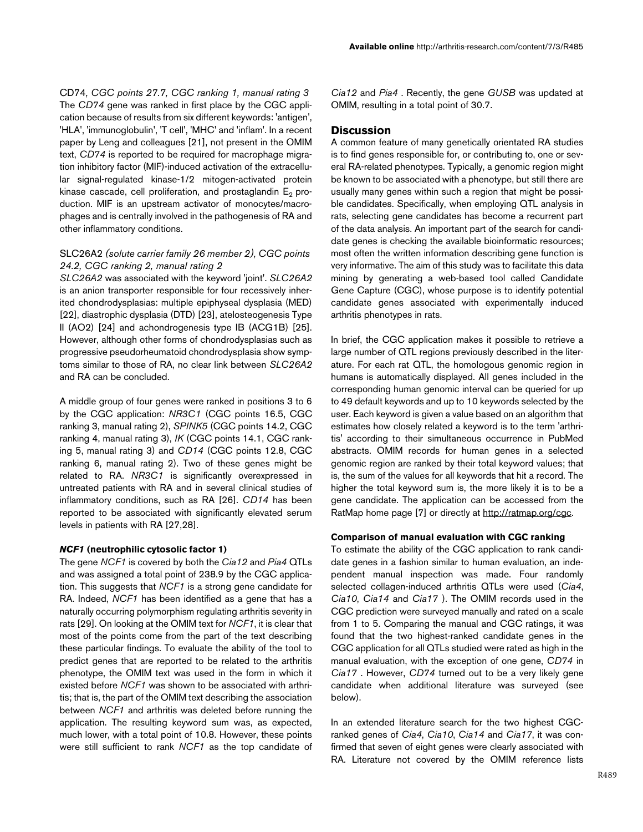CD74*, CGC points 27.7, CGC ranking 1, manual rating 3* The *CD74* gene was ranked in first place by the CGC application because of results from six different keywords: 'antigen', 'HLA', 'immunoglobulin', 'T cell', 'MHC' and 'inflam'. In a recent paper by Leng and colleagues [21], not present in the OMIM text, *CD74* is reported to be required for macrophage migration inhibitory factor (MIF)-induced activation of the extracellular signal-regulated kinase-1/2 mitogen-activated protein kinase cascade, cell proliferation, and prostaglandin  $E<sub>2</sub>$  production. MIF is an upstream activator of monocytes/macrophages and is centrally involved in the pathogenesis of RA and other inflammatory conditions.

## SLC26A2 *(solute carrier family 26 member 2), CGC points 24.2, CGC ranking 2, manual rating 2*

*SLC26A2* was associated with the keyword 'joint'. *SLC26A2* is an anion transporter responsible for four recessively inherited chondrodysplasias: multiple epiphyseal dysplasia (MED) [22], diastrophic dysplasia (DTD) [23], atelosteogenesis Type II (AO2) [24] and achondrogenesis type IB (ACG1B) [25]. However, although other forms of chondrodysplasias such as progressive pseudorheumatoid chondrodysplasia show symptoms similar to those of RA, no clear link between *SLC26A2* and RA can be concluded.

A middle group of four genes were ranked in positions 3 to 6 by the CGC application: *NR3C1* (CGC points 16.5, CGC ranking 3, manual rating 2), *SPINK5* (CGC points 14.2, CGC ranking 4, manual rating 3), *IK* (CGC points 14.1, CGC ranking 5, manual rating 3) and *CD14* (CGC points 12.8, CGC ranking 6, manual rating 2). Two of these genes might be related to RA. *NR3C1* is significantly overexpressed in untreated patients with RA and in several clinical studies of inflammatory conditions, such as RA [26]. *CD14* has been reported to be associated with significantly elevated serum levels in patients with RA [27,28].

#### *NCF1* **(neutrophilic cytosolic factor 1)**

The gene *NCF1* is covered by both the *Cia12* and *Pia4* QTLs and was assigned a total point of 238.9 by the CGC application. This suggests that *NCF1* is a strong gene candidate for RA. Indeed, *NCF1* has been identified as a gene that has a naturally occurring polymorphism regulating arthritis severity in rats [29]. On looking at the OMIM text for *NCF1*, it is clear that most of the points come from the part of the text describing these particular findings. To evaluate the ability of the tool to predict genes that are reported to be related to the arthritis phenotype, the OMIM text was used in the form in which it existed before *NCF1* was shown to be associated with arthritis; that is, the part of the OMIM text describing the association between *NCF1* and arthritis was deleted before running the application. The resulting keyword sum was, as expected, much lower, with a total point of 10.8. However, these points were still sufficient to rank *NCF1* as the top candidate of *Cia12* and *Pia4* . Recently, the gene *GUSB* was updated at OMIM, resulting in a total point of 30.7.

### **Discussion**

A common feature of many genetically orientated RA studies is to find genes responsible for, or contributing to, one or several RA-related phenotypes. Typically, a genomic region might be known to be associated with a phenotype, but still there are usually many genes within such a region that might be possible candidates. Specifically, when employing QTL analysis in rats, selecting gene candidates has become a recurrent part of the data analysis. An important part of the search for candidate genes is checking the available bioinformatic resources; most often the written information describing gene function is very informative. The aim of this study was to facilitate this data mining by generating a web-based tool called Candidate Gene Capture (CGC), whose purpose is to identify potential candidate genes associated with experimentally induced arthritis phenotypes in rats.

In brief, the CGC application makes it possible to retrieve a large number of QTL regions previously described in the literature. For each rat QTL, the homologous genomic region in humans is automatically displayed. All genes included in the corresponding human genomic interval can be queried for up to 49 default keywords and up to 10 keywords selected by the user. Each keyword is given a value based on an algorithm that estimates how closely related a keyword is to the term 'arthritis' according to their simultaneous occurrence in PubMed abstracts. OMIM records for human genes in a selected genomic region are ranked by their total keyword values; that is, the sum of the values for all keywords that hit a record. The higher the total keyword sum is, the more likely it is to be a gene candidate. The application can be accessed from the RatMap home page [7] or directly at<http://ratmap.org/cgc>.

#### **Comparison of manual evaluation with CGC ranking**

To estimate the ability of the CGC application to rank candidate genes in a fashion similar to human evaluation, an independent manual inspection was made. Four randomly selected collagen-induced arthritis QTLs were used (*Cia4*, *Cia10*, *Cia14* and *Cia17* ). The OMIM records used in the CGC prediction were surveyed manually and rated on a scale from 1 to 5. Comparing the manual and CGC ratings, it was found that the two highest-ranked candidate genes in the CGC application for all QTLs studied were rated as high in the manual evaluation, with the exception of one gene, *CD74* in *Cia17* . However, *CD74* turned out to be a very likely gene candidate when additional literature was surveyed (see below).

In an extended literature search for the two highest CGCranked genes of *Cia4*, *Cia10*, *Cia14* and *Cia17*, it was confirmed that seven of eight genes were clearly associated with RA. Literature not covered by the OMIM reference lists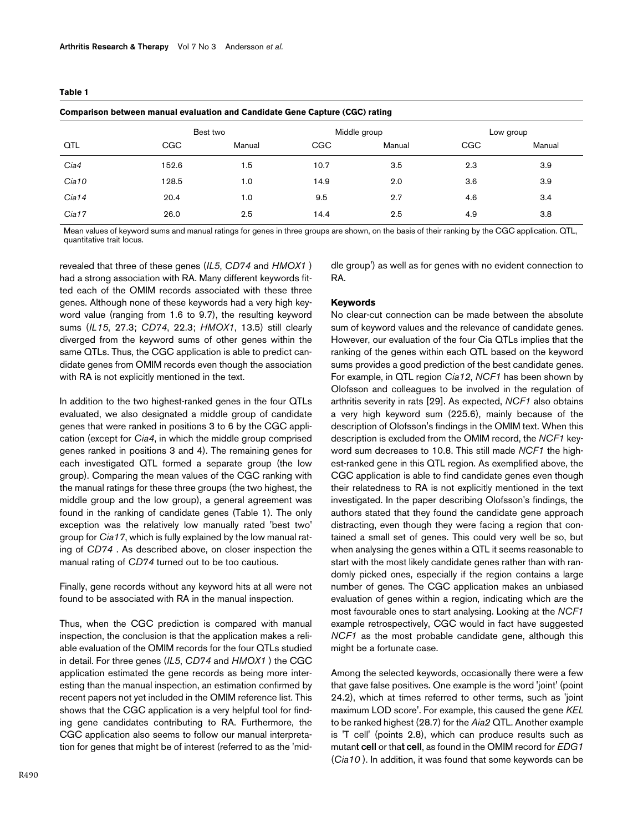<span id="page-5-0"></span>

| i |  |
|---|--|
|---|--|

| Comparison between manual evaluation and Candidate Gene Capture (CGC) rating |  |  |  |
|------------------------------------------------------------------------------|--|--|--|
|------------------------------------------------------------------------------|--|--|--|

| QTL   | Best two |        | Middle group |        | Low group |        |
|-------|----------|--------|--------------|--------|-----------|--------|
|       | CGC      | Manual | CGC          | Manual | CGC       | Manual |
| Cia4  | 152.6    | 1.5    | 10.7         | 3.5    | 2.3       | 3.9    |
| Cia10 | 128.5    | 1.0    | 14.9         | 2.0    | 3.6       | 3.9    |
| Cia14 | 20.4     | 1.0    | 9.5          | 2.7    | 4.6       | 3.4    |
| Cia17 | 26.0     | 2.5    | 14.4         | 2.5    | 4.9       | 3.8    |
|       |          |        |              |        |           |        |

Mean values of keyword sums and manual ratings for genes in three groups are shown, on the basis of their ranking by the CGC application. QTL, quantitative trait locus.

revealed that three of these genes (*IL5*, *CD74* and *HMOX1* ) had a strong association with RA. Many different keywords fitted each of the OMIM records associated with these three genes. Although none of these keywords had a very high keyword value (ranging from 1.6 to 9.7), the resulting keyword sums (*IL15*, 27.3; *CD74*, 22.3; *HMOX1*, 13.5) still clearly diverged from the keyword sums of other genes within the same QTLs. Thus, the CGC application is able to predict candidate genes from OMIM records even though the association with RA is not explicitly mentioned in the text.

In addition to the two highest-ranked genes in the four QTLs evaluated, we also designated a middle group of candidate genes that were ranked in positions 3 to 6 by the CGC application (except for *Cia4*, in which the middle group comprised genes ranked in positions 3 and 4). The remaining genes for each investigated QTL formed a separate group (the low group). Comparing the mean values of the CGC ranking with the manual ratings for these three groups (the two highest, the middle group and the low group), a general agreement was found in the ranking of candidate genes (Table [1\)](#page-5-0). The only exception was the relatively low manually rated 'best two' group for *Cia17*, which is fully explained by the low manual rating of *CD74* . As described above, on closer inspection the manual rating of *CD74* turned out to be too cautious.

Finally, gene records without any keyword hits at all were not found to be associated with RA in the manual inspection.

Thus, when the CGC prediction is compared with manual inspection, the conclusion is that the application makes a reliable evaluation of the OMIM records for the four QTLs studied in detail. For three genes (*IL5*, *CD74* and *HMOX1* ) the CGC application estimated the gene records as being more interesting than the manual inspection, an estimation confirmed by recent papers not yet included in the OMIM reference list. This shows that the CGC application is a very helpful tool for finding gene candidates contributing to RA. Furthermore, the CGC application also seems to follow our manual interpretation for genes that might be of interest (referred to as the 'middle group') as well as for genes with no evident connection to RA.

### **Keywords**

No clear-cut connection can be made between the absolute sum of keyword values and the relevance of candidate genes. However, our evaluation of the four Cia QTLs implies that the ranking of the genes within each QTL based on the keyword sums provides a good prediction of the best candidate genes. For example, in QTL region *Cia12*, *NCF1* has been shown by Olofsson and colleagues to be involved in the regulation of arthritis severity in rats [29]. As expected, *NCF1* also obtains a very high keyword sum (225.6), mainly because of the description of Olofsson's findings in the OMIM text. When this description is excluded from the OMIM record, the *NCF1* keyword sum decreases to 10.8. This still made *NCF1* the highest-ranked gene in this QTL region. As exemplified above, the CGC application is able to find candidate genes even though their relatedness to RA is not explicitly mentioned in the text investigated. In the paper describing Olofsson's findings, the authors stated that they found the candidate gene approach distracting, even though they were facing a region that contained a small set of genes. This could very well be so, but when analysing the genes within a QTL it seems reasonable to start with the most likely candidate genes rather than with randomly picked ones, especially if the region contains a large number of genes. The CGC application makes an unbiased evaluation of genes within a region, indicating which are the most favourable ones to start analysing. Looking at the *NCF1* example retrospectively, CGC would in fact have suggested *NCF1* as the most probable candidate gene, although this might be a fortunate case.

Among the selected keywords, occasionally there were a few that gave false positives. One example is the word 'joint' (point 24.2), which at times referred to other terms, such as 'joint maximum LOD score'. For example, this caused the gene *KEL* to be ranked highest (28.7) for the *Aia2* QTL. Another example is 'T cell' (points 2.8), which can produce results such as mutan**t cell** or tha**t cell**, as found in the OMIM record for *EDG1* (*Cia10* ). In addition, it was found that some keywords can be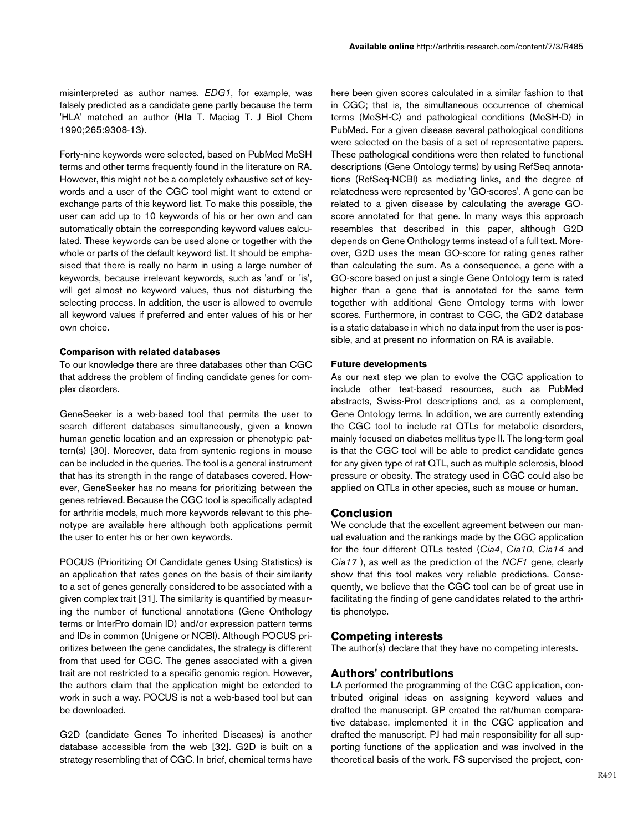misinterpreted as author names. *EDG1*, for example, was falsely predicted as a candidate gene partly because the term 'HLA' matched an author (**Hla** T. Maciag T. J Biol Chem 1990;265:9308-13).

Forty-nine keywords were selected, based on PubMed MeSH terms and other terms frequently found in the literature on RA. However, this might not be a completely exhaustive set of keywords and a user of the CGC tool might want to extend or exchange parts of this keyword list. To make this possible, the user can add up to 10 keywords of his or her own and can automatically obtain the corresponding keyword values calculated. These keywords can be used alone or together with the whole or parts of the default keyword list. It should be emphasised that there is really no harm in using a large number of keywords, because irrelevant keywords, such as 'and' or 'is', will get almost no keyword values, thus not disturbing the selecting process. In addition, the user is allowed to overrule all keyword values if preferred and enter values of his or her own choice.

### **Comparison with related databases**

To our knowledge there are three databases other than CGC that address the problem of finding candidate genes for complex disorders.

GeneSeeker is a web-based tool that permits the user to search different databases simultaneously, given a known human genetic location and an expression or phenotypic pattern(s) [30]. Moreover, data from syntenic regions in mouse can be included in the queries. The tool is a general instrument that has its strength in the range of databases covered. However, GeneSeeker has no means for prioritizing between the genes retrieved. Because the CGC tool is specifically adapted for arthritis models, much more keywords relevant to this phenotype are available here although both applications permit the user to enter his or her own keywords.

POCUS (Prioritizing Of Candidate genes Using Statistics) is an application that rates genes on the basis of their similarity to a set of genes generally considered to be associated with a given complex trait [31]. The similarity is quantified by measuring the number of functional annotations (Gene Onthology terms or InterPro domain ID) and/or expression pattern terms and IDs in common (Unigene or NCBI). Although POCUS prioritizes between the gene candidates, the strategy is different from that used for CGC. The genes associated with a given trait are not restricted to a specific genomic region. However, the authors claim that the application might be extended to work in such a way. POCUS is not a web-based tool but can be downloaded.

G2D (candidate Genes To inherited Diseases) is another database accessible from the web [32]. G2D is built on a strategy resembling that of CGC. In brief, chemical terms have

here been given scores calculated in a similar fashion to that in CGC; that is, the simultaneous occurrence of chemical terms (MeSH-C) and pathological conditions (MeSH-D) in PubMed. For a given disease several pathological conditions were selected on the basis of a set of representative papers. These pathological conditions were then related to functional descriptions (Gene Ontology terms) by using RefSeq annotations (RefSeq-NCBI) as mediating links, and the degree of relatedness were represented by 'GO-scores'. A gene can be related to a given disease by calculating the average GOscore annotated for that gene. In many ways this approach resembles that described in this paper, although G2D depends on Gene Onthology terms instead of a full text. Moreover, G2D uses the mean GO-score for rating genes rather than calculating the sum. As a consequence, a gene with a GO-score based on just a single Gene Ontology term is rated higher than a gene that is annotated for the same term together with additional Gene Ontology terms with lower scores. Furthermore, in contrast to CGC, the GD2 database is a static database in which no data input from the user is possible, and at present no information on RA is available.

#### **Future developments**

As our next step we plan to evolve the CGC application to include other text-based resources, such as PubMed abstracts, Swiss-Prot descriptions and, as a complement, Gene Ontology terms. In addition, we are currently extending the CGC tool to include rat QTLs for metabolic disorders, mainly focused on diabetes mellitus type II. The long-term goal is that the CGC tool will be able to predict candidate genes for any given type of rat QTL, such as multiple sclerosis, blood pressure or obesity. The strategy used in CGC could also be applied on QTLs in other species, such as mouse or human.

### **Conclusion**

We conclude that the excellent agreement between our manual evaluation and the rankings made by the CGC application for the four different QTLs tested (*Cia4*, *Cia10*, *Cia14* and *Cia17* ), as well as the prediction of the *NCF1* gene, clearly show that this tool makes very reliable predictions. Consequently, we believe that the CGC tool can be of great use in facilitating the finding of gene candidates related to the arthritis phenotype.

#### **Competing interests**

The author(s) declare that they have no competing interests.

## **Authors' contributions**

LA performed the programming of the CGC application, contributed original ideas on assigning keyword values and drafted the manuscript. GP created the rat/human comparative database, implemented it in the CGC application and drafted the manuscript. PJ had main responsibility for all supporting functions of the application and was involved in the theoretical basis of the work. FS supervised the project, con